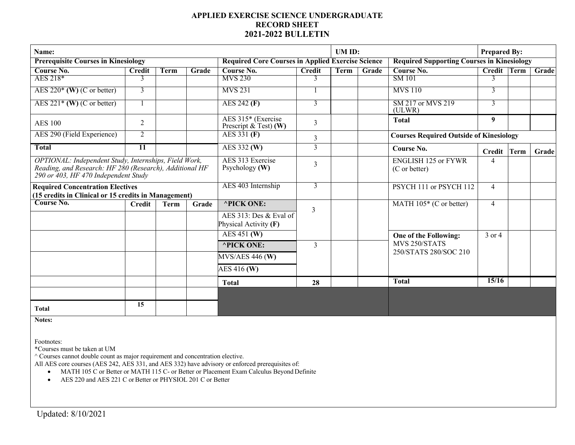## **APPLIED EXERCISE SCIENCE UNDERGRADUATE RECORD SHEET 2021-2022 BULLETIN**

| Name:                                                                                                                                                    |                |             |       |                                                          |                | UM ID:      |                                                   |                                                | <b>Prepared By:</b> |  |       |
|----------------------------------------------------------------------------------------------------------------------------------------------------------|----------------|-------------|-------|----------------------------------------------------------|----------------|-------------|---------------------------------------------------|------------------------------------------------|---------------------|--|-------|
| <b>Prerequisite Courses in Kinesiology</b>                                                                                                               |                |             |       | <b>Required Core Courses in Applied Exercise Science</b> |                |             | <b>Required Supporting Courses in Kinesiology</b> |                                                |                     |  |       |
| Course No.                                                                                                                                               | <b>Credit</b>  | Term        | Grade | Course No.                                               | <b>Credit</b>  | <b>Term</b> | Grade                                             | Course No.                                     | Credit Term         |  | Grade |
| AES 218*                                                                                                                                                 | 3              |             |       | <b>MVS 230</b>                                           | 3              |             |                                                   | SM 101                                         | 3                   |  |       |
| AES $220^*$ (W) (C or better)                                                                                                                            | 3              |             |       | <b>MVS 231</b>                                           |                |             |                                                   | <b>MVS 110</b>                                 | 3                   |  |       |
| AES $221*$ (W) (C or better)                                                                                                                             |                |             |       | AES 242 (F)                                              | 3              |             |                                                   | SM 217 or MVS 219<br>(ULWR)                    | 3                   |  |       |
| <b>AES 100</b>                                                                                                                                           | $\overline{2}$ |             |       | AES 315* (Exercise<br>Prescript $\&$ Test) (W)           | 3              |             |                                                   | <b>Total</b>                                   | 9                   |  |       |
| AES 290 (Field Experience)                                                                                                                               | 2              |             |       | AES 331 (F)                                              | 3              |             |                                                   | <b>Courses Required Outside of Kinesiology</b> |                     |  |       |
| <b>Total</b>                                                                                                                                             | <b>11</b>      |             |       | AES 332 (W)                                              | 3              |             |                                                   | Course No.                                     | Credit Term         |  | Grade |
| OPTIONAL: Independent Study, Internships, Field Work,<br>Reading, and Research: HF 280 (Research), Additional HF<br>290 or 403, HF 470 Independent Study |                |             |       | AES 313 Exercise<br>Psychology (W)                       | 3              |             |                                                   | <b>ENGLISH 125 or FYWR</b><br>(C or better)    | 4                   |  |       |
| <b>Required Concentration Electives</b>                                                                                                                  |                |             |       | AES 403 Internship                                       | 3              |             |                                                   | PSYCH 111 or PSYCH 112                         | $\overline{4}$      |  |       |
| (15 credits in Clinical or 15 credits in Management)                                                                                                     |                |             |       |                                                          |                |             |                                                   |                                                |                     |  |       |
| Course No.                                                                                                                                               | <b>Credit</b>  | <b>Term</b> | Grade | <b>^PICK ONE:</b>                                        | $\overline{3}$ |             |                                                   | MATH $105*$ (C or better)                      | $\overline{4}$      |  |       |
|                                                                                                                                                          |                |             |       | AES 313: Des & Eval of<br>Physical Activity (F)          |                |             |                                                   |                                                |                     |  |       |
|                                                                                                                                                          |                |             |       | AES 451 (W)                                              |                |             |                                                   | One of the Following:                          | 3 or 4              |  |       |
|                                                                                                                                                          |                |             |       | <b>^PICK ONE:</b>                                        | 3              |             |                                                   | MVS 250/STATS<br>250/STATS 280/SOC 210         |                     |  |       |
|                                                                                                                                                          |                |             |       | $MVS/AES$ 446 (W)                                        |                |             |                                                   |                                                |                     |  |       |
|                                                                                                                                                          |                |             |       | AES 416 (W)                                              |                |             |                                                   |                                                |                     |  |       |
|                                                                                                                                                          |                |             |       | <b>Total</b>                                             | 28             |             |                                                   | <b>Total</b>                                   | 15/16               |  |       |
|                                                                                                                                                          |                |             |       |                                                          |                |             |                                                   |                                                |                     |  |       |
| <b>Total</b>                                                                                                                                             | 15             |             |       |                                                          |                |             |                                                   |                                                |                     |  |       |

**Notes:**

Footnotes:

\*Courses must be taken at UM

 $^\wedge$  Courses cannot double count as major requirement and concentration elective.

All AES core courses (AES 242, AES 331, and AES 332) have advisory or enforced prerequisites of:

- MATH 105 C or Better or MATH 115 C- or Better or Placement Exam Calculus Beyond Definite
- AES 220 and AES 221 C or Better or PHYSIOL 201 C or Better